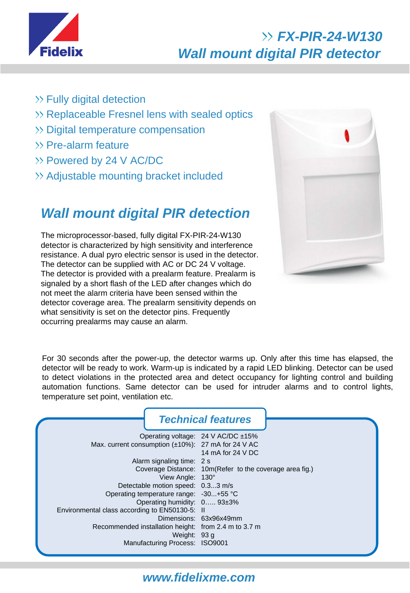

## *FX-PIR-24-W130 Wall mount digital PIR detector*

- $\gg$  Fully digital detection
- $\gg$  Replaceable Fresnel lens with sealed optics
- >> Digital temperature compensation
- $\gg$  Pre-alarm feature
- Powered by 24 V AC/DC
- Adjustable mounting bracket included

### *Wall mount digital PIR detection*

The microprocessor-based, fully digital FX-PIR-24-W130 detector is characterized by high sensitivity and interference resistance. A dual pyro electric sensor is used in the detector. The detector can be supplied with AC or DC 24 V voltage. The detector is provided with a prealarm feature. Prealarm is signaled by a short flash of the LED after changes which do not meet the alarm criteria have been sensed within the detector coverage area. The prealarm sensitivity depends on what sensitivity is set on the detector pins. Frequently occurring prealarms may cause an alarm.



For 30 seconds after the power-up, the detector warms up. Only after this time has elapsed, the detector will be ready to work. Warm-up is indicated by a rapid LED blinking. Detector can be used to detect violations in the protected area and detect occupancy for lighting control and building automation functions. Same detector can be used for intruder alarms and to control lights, temperature set point, ventilation etc.

|                                                    | <b>Technical features</b>              |                                                          |  |
|----------------------------------------------------|----------------------------------------|----------------------------------------------------------|--|
|                                                    |                                        | Operating voltage: 24 V AC/DC ±15%                       |  |
| Max. current consumption (±10%): 27 mA for 24 V AC |                                        |                                                          |  |
|                                                    |                                        | 14 mA for 24 V DC                                        |  |
| Alarm signaling time: 2 s                          |                                        |                                                          |  |
|                                                    |                                        | Coverage Distance: 10m (Refer to the coverage area fig.) |  |
|                                                    | View Angle: 130°                       |                                                          |  |
|                                                    | Detectable motion speed: 0.33 m/s      |                                                          |  |
|                                                    | Operating temperature range: -30+55 °C |                                                          |  |
| Operating humidity: 0 93±3%                        |                                        |                                                          |  |
| Environmental class according to EN50130-5: II     |                                        |                                                          |  |
|                                                    |                                        | Dimensions: 63x96x49mm                                   |  |
|                                                    |                                        | Recommended installation height: from 2.4 m to 3.7 m     |  |
|                                                    | Weight: 93 g                           |                                                          |  |
|                                                    | Manufacturing Process: ISO9001         |                                                          |  |
|                                                    |                                        |                                                          |  |

#### *www.fidelixme.com*